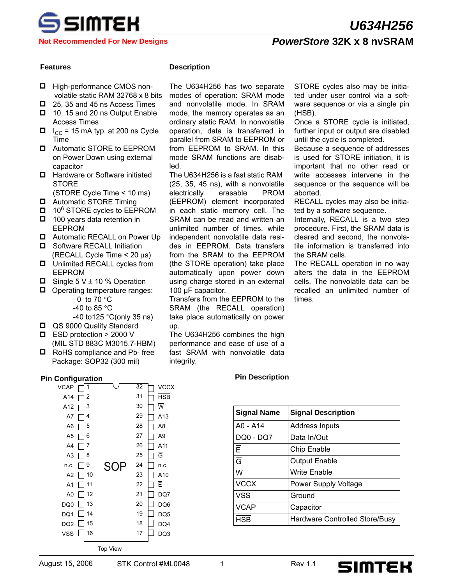

**Not Recommended For New Designs**

## *PowerStore* **32K x 8 nvSRAM**

- □ High-performance CMOS nonvolatile static RAM 32768 x 8 bits
- $\Box$  25, 35 and 45 ns Access Times
- $\Box$  10, 15 and 20 ns Output Enable Access Times
- $\blacksquare$  I<sub>CC</sub> = 15 mA typ. at 200 ns Cycle Time
- **D** Automatic STORE to EEPROM on Power Down using external capacitor
- **Hardware or Software initiated STORE**
- (STORE Cycle Time < 10 ms)
- **D** Automatic STORE Timing
- $\Box$  10<sup>6</sup> STORE cycles to EEPROM
- $\Box$  100 years data retention in EEPROM
- **I** Automatic RECALL on Power Up
- **D** Software RECALL Initiation (RECALL Cycle Time < 20 μs)
- $\Box$  Unlimited RECALL cycles from EEPROM
- $\Box$  Single 5 V  $\pm$  10 % Operation
- $\Box$  Operating temperature ranges: 0 to 70 °C -40 to 85 °C
	- -40 to125 °C(only 35 ns)
- QS 9000 Quality Standard
- $\blacksquare$  ESD protection > 2000 V
- (MIL STD 883C M3015.7-HBM) □ RoHS compliance and Pb- free Package: SOP32 (300 mil)

#### **Pin Configuration Pin Description**

| vuniyurauvii    |    |                 |    |                         |
|-----------------|----|-----------------|----|-------------------------|
| <b>VCAP</b>     | 1  |                 | 32 | <b>VCCX</b>             |
| A14             | 2  |                 | 31 | <b>HSB</b>              |
| A12             | 3  |                 | 30 | $\overline{\mathsf{w}}$ |
| A7              | 4  |                 | 29 | A <sub>13</sub>         |
| A6              | 5  |                 | 28 | A8                      |
| A5              | 6  |                 | 27 | A <sub>9</sub>          |
| A4              | 7  |                 | 26 | A11                     |
| A <sub>3</sub>  | 8  |                 | 25 | $\overline{\mathsf{G}}$ |
| n.c.            | 9  | SOP             | 24 | n.c.                    |
| A <sub>2</sub>  | 10 |                 | 23 | A10                     |
| A <sub>1</sub>  | 11 |                 | 22 | E                       |
| A <sub>0</sub>  | 12 |                 | 21 | DQ7                     |
| DQ0             | 13 |                 | 20 | DQ6                     |
| DQ1             | 14 |                 | 19 | DQ <sub>5</sub>         |
| DQ <sub>2</sub> | 15 |                 | 18 | DQ4                     |
| <b>VSS</b>      | 16 |                 | 17 | DQ3                     |
|                 |    |                 |    |                         |
|                 |    | <b>Top View</b> |    |                         |

#### **Features Description**

The U634H256 has two separate modes of operation: SRAM mode and nonvolatile mode. In SRAM mode, the memory operates as an ordinary static RAM. In nonvolatile operation, data is transferred in parallel from SRAM to EEPROM or from EEPROM to SRAM. In this mode SRAM functions are disabled.

The U634H256 is a fast static RAM (25, 35, 45 ns), with a nonvolatile electrically erasable PROM (EEPROM) element incorporated in each static memory cell. The SRAM can be read and written an unlimited number of times, while independent nonvolatile data resides in EEPROM. Data transfers from the SRAM to the EEPROM (the STORE operation) take place automatically upon power down using charge stored in an external 100 μF capacitor.

Transfers from the EEPROM to the SRAM (the RECALL operation) take place automatically on power up.

The U634H256 combines the high performance and ease of use of a fast SRAM with nonvolatile data integrity.

STORE cycles also may be initiated under user control via a software sequence or via a single pin (HSB).

Once a STORE cycle is initiated, further input or output are disabled until the cycle is completed.

Because a sequence of addresses is used for STORE initiation, it is important that no other read or write accesses intervene in the sequence or the sequence will be aborted.

RECALL cycles may also be initiated by a software sequence.

Internally, RECALL is a two step procedure. First, the SRAM data is cleared and second, the nonvolatile information is transferred into the SRAM cells.

The RECALL operation in no way alters the data in the EEPROM cells. The nonvolatile data can be recalled an unlimited number of times.

| <b>Signal Name</b>        | <b>Signal Description</b>      |
|---------------------------|--------------------------------|
| A0 - A14                  | <b>Address Inputs</b>          |
| DQ0 - DQ7                 | Data In/Out                    |
| Ē                         | Chip Enable                    |
| $\overline{\overline{G}}$ | <b>Output Enable</b>           |
| $\overline{w}$            | Write Enable                   |
| <b>VCCX</b>               | <b>Power Supply Voltage</b>    |
| <b>VSS</b>                | Ground                         |
| <b>VCAP</b>               | Capacitor                      |
| <b>HSB</b>                | Hardware Controlled Store/Busy |

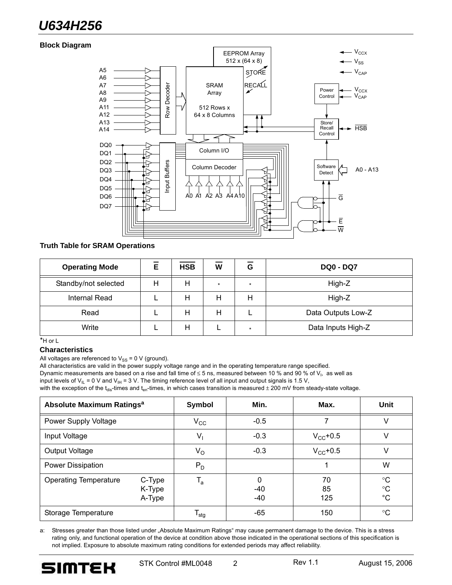# *U634H256*

#### **Block Diagram**



#### **Truth Table for SRAM Operations**

| <b>Operating Mode</b> | Е | <b>HSB</b> | W | G       | <b>DQ0 - DQ7</b>   |
|-----------------------|---|------------|---|---------|--------------------|
| Standby/not selected  | н | Н          | ÷ | $\star$ | High-Z             |
| <b>Internal Read</b>  |   | Н          | н | Н       | High-Z             |
| Read                  |   | Н          | н |         | Data Outputs Low-Z |
| Write                 |   | Н          |   | ÷       | Data Inputs High-Z |

\*H or L

#### **Characteristics**

All voltages are referenced to  $V_{SS}$  = 0 V (ground).

All characteristics are valid in the power supply voltage range and in the operating temperature range specified.

Dynamic measurements are based on a rise and fall time of  $\leq$  5 ns, measured between 10 % and 90 % of V<sub>I</sub>, as well as

input levels of  $V_{IL} = 0$  V and  $V_{IH} = 3$  V. The timing reference level of all input and output signals is 1.5 V,

with the exception of the t<sub>dis</sub>-times and t<sub>en</sub>-times, in which cases transition is measured  $\pm$  200 mV from steady-state voltage.

| Absolute Maximum Ratings <sup>a</sup> | Symbol                     | Min.                   | Max.              | Unit            |                                           |
|---------------------------------------|----------------------------|------------------------|-------------------|-----------------|-------------------------------------------|
| Power Supply Voltage                  |                            | $V_{\rm CC}$           | $-0.5$            |                 | V                                         |
| Input Voltage                         |                            | $V_{1}$                | $-0.3$            | $V_{CC}$ +0.5   | v                                         |
| Output Voltage                        |                            | $V_{\rm O}$            | $-0.3$            | $V_{CC}$ +0.5   | v                                         |
| Power Dissipation                     |                            | $P_D$                  |                   |                 | W                                         |
| <b>Operating Temperature</b>          | C-Type<br>K-Type<br>A-Type | $T_{a}$                | 0<br>-40<br>$-40$ | 70<br>85<br>125 | $^{\circ}C$<br>$^{\circ}C$<br>$^{\circ}C$ |
| Storage Temperature                   |                            | $\mathsf{T}_{\sf stg}$ | $-65$             | 150             | $^{\circ}C$                               |

a: Stresses greater than those listed under "Absolute Maximum Ratings" may cause permanent damage to the device. This is a stress rating only, and functional operation of the device at condition above those indicated in the operational sections of this specification is not implied. Exposure to absolute maximum rating conditions for extended periods may affect reliability.

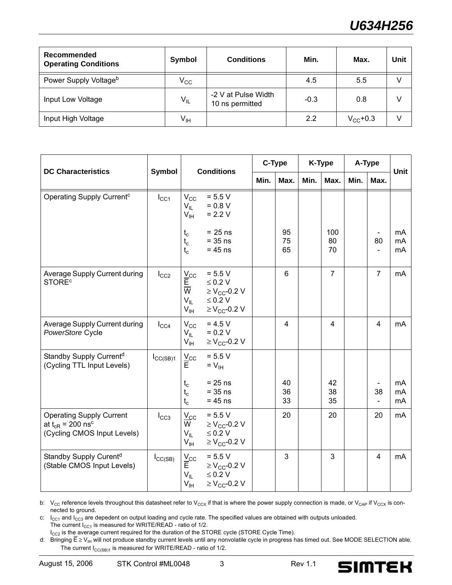| Recommended<br><b>Operating Conditions</b> | Symbol          | <b>Conditions</b>                      | Min.   | Max.              | Unit |
|--------------------------------------------|-----------------|----------------------------------------|--------|-------------------|------|
| Power Supply Voltage <sup>b</sup>          | $V_{\rm CC}$    |                                        | 4.5    | 5.5               |      |
| Input Low Voltage                          | $V_{IL}$        | -2 V at Pulse Width<br>10 ns permitted | $-0.3$ | 0.8               | V    |
| Input High Voltage                         | $V_{\text{IH}}$ |                                        | 2.2    | $V_{\rm CC}$ +0.3 |      |

| <b>DC Characteristics</b>                                                                           | Symbol               |                                                                              | <b>Conditions</b>                                                                                           |      | C-Type         |      | K-Type          | A-Type |                                                  | <b>Unit</b>    |
|-----------------------------------------------------------------------------------------------------|----------------------|------------------------------------------------------------------------------|-------------------------------------------------------------------------------------------------------------|------|----------------|------|-----------------|--------|--------------------------------------------------|----------------|
|                                                                                                     |                      |                                                                              |                                                                                                             | Min. | Max.           | Min. | Max.            | Min.   | Max.                                             |                |
| Operating Supply Current <sup>c</sup>                                                               | $I_{\rm CC1}$        | $V_{CC}$<br>$V_{\parallel}$<br>$V_{\text{IH}}$                               | $= 5.5 V$<br>$= 0.8 V$<br>$= 2.2 V$                                                                         |      |                |      |                 |        |                                                  |                |
|                                                                                                     |                      | $t_c$<br>$t_c$<br>$t_c$                                                      | $= 25$ ns<br>$= 35$ ns<br>$= 45$ ns                                                                         |      | 95<br>75<br>65 |      | 100<br>80<br>70 |        | $\overline{\phantom{a}}$<br>80<br>$\blacksquare$ | mA<br>mA<br>mA |
| Average Supply Current during<br><b>STORE<sup>c</sup></b>                                           | $I_{CC2}$            | $\frac{V_{CC}}{E}$<br>$\overline{\mathsf{w}}$<br>$V_{IL}$<br>$V_{\text{IH}}$ | $= 5.5 V$<br>$\leq 0.2$ V<br>$\geq$ V <sub>CC</sub> -0.2 V<br>$\leq 0.2$ V<br>$\geq$ V <sub>CC</sub> -0.2 V |      | 6              |      | $\overline{7}$  |        | $\overline{7}$                                   | mA             |
| Average Supply Current during<br>PowerStore Cycle                                                   | $I_{\rm CC4}$        | $V_{\rm CC}$<br>$V_{IL}$<br>$V_{\text{IH}}$                                  | $= 4.5 V$<br>$= 0.2 V$<br>$\geq$ V <sub>CC</sub> -0.2 V                                                     |      | $\overline{4}$ |      | $\overline{4}$  |        | $\overline{4}$                                   | mA             |
| Standby Supply Current <sup>d</sup><br>(Cycling TTL Input Levels)                                   | $I_{\text{CC}(SB)1}$ | $\frac{V_{CC}}{E}$                                                           | $= 5.5 V$<br>$= V_{\text{IH}}$                                                                              |      |                |      |                 |        |                                                  |                |
|                                                                                                     |                      | $t_c$<br>$t_c$<br>$t_c$                                                      | $= 25$ ns<br>$= 35$ ns<br>$= 45$ ns                                                                         |      | 40<br>36<br>33 |      | 42<br>38<br>35  |        | 38<br>$\overline{\phantom{0}}$                   | mA<br>mA<br>mA |
| <b>Operating Supply Current</b><br>at $t_{CR}$ = 200 ns <sup>c</sup><br>(Cycling CMOS Input Levels) | $I_{CC3}$            | $V_{CC}$<br>W<br>$V_{IL}$<br>$V_{\text{IH}}$                                 | $= 5.5 V$<br>$\geq$ V <sub>CC</sub> -0.2 V<br>$\leq 0.2$ V<br>$\geq$ V <sub>CC</sub> -0.2 V                 |      | 20             |      | 20              |        | 20                                               | mA             |
| Standby Supply Curent <sup>d</sup><br>(Stable CMOS Input Levels)                                    | $I_{\text{CC(SB)}}$  | $\underline{V}_{CC}$<br>Ē.<br>$V_{IL}$<br>$V_{\text{IH}}$                    | $= 5.5 V$<br>$\geq$ V <sub>CC</sub> -0.2 V<br>$\leq 0.2$ V<br>$\geq$ V <sub>CC</sub> -0.2 V                 |      | 3              |      | 3               |        | $\overline{\mathbf{4}}$                          | mA             |

b:  $V_{CC}$  reference levels throughout this datasheet refer to  $V_{CCX}$  if that is where the power supply connection is made, or  $V_{CAP}$  if  $V_{CCX}$  is connected to ground.

c:  $I_{CC1}$  and  $I_{CC3}$  are depedent on output loading and cycle rate. The specified values are obtained with outputs unloaded. The current  $I_{CC1}$  is measured for WRITE/READ - ratio of 1/2.

 $I_{CC2}$  is the average current required for the duration of the STORE cycle (STORE Cycle Time).

d: Bringing  $\overline{E} \ge V_{H}$  will not produce standby current levels until any nonvolatile cycle in progress has timed out. See MODE SELECTION able. The current  $I_{CC(SB)1}$  is measured for WRITE/READ - ratio of 1/2.

**SIMTEK**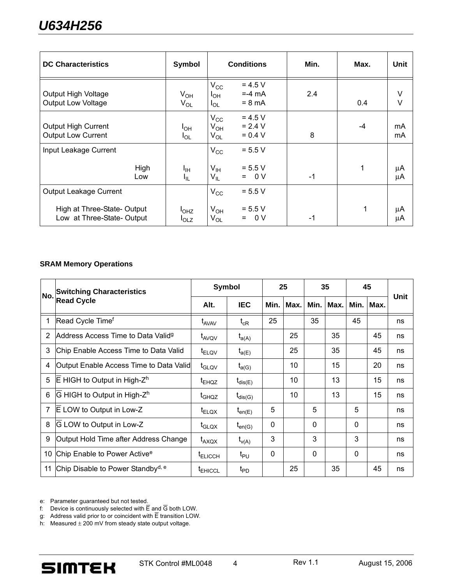| <b>DC Characteristics</b>                                 | Symbol                        | <b>Conditions</b>                                                             | Min. | Max. | <b>Unit</b> |
|-----------------------------------------------------------|-------------------------------|-------------------------------------------------------------------------------|------|------|-------------|
| Output High Voltage<br>Output Low Voltage                 | $V_{OH}$<br>$V_{OL}$          | $= 4.5 V$<br>$V_{\rm CC}$<br>$= -4$ mA<br>Iон<br>$= 8 \text{ mA}$<br>$I_{OL}$ | 2.4  | 0.4  | V<br>$\vee$ |
| <b>Output High Current</b><br><b>Output Low Current</b>   | $I_{OH}$<br>l <sub>OL</sub>   | $= 4.5 V$<br>$V_{\rm CC}$<br>$= 2.4 V$<br>$V_{OH}$<br>$= 0.4 V$<br>$V_{OL}$   | 8    | $-4$ | mA<br>mA    |
| Input Leakage Current                                     |                               | $= 5.5 V$<br>$V_{CC}$                                                         |      |      |             |
| High<br>Low                                               | Iн<br>۱ı∟                     | $= 5.5 V$<br>$V_{\text{IH}}$<br>$= 0 V$<br>$\mathsf{V}_{\mathsf{IL}}$         | $-1$ | 1    | μA<br>μA    |
| Output Leakage Current                                    |                               | $= 5.5 V$<br>$V_{\rm CC}$                                                     |      |      |             |
| High at Three-State- Output<br>Low at Three-State- Output | I <sub>OHZ</sub><br>$I_{OLZ}$ | $= 5.5 V$<br>$V_{OH}$<br>$= 0 V$<br>$V_{OL}$                                  | -1   | 1    | μA<br>μA    |

#### **SRAM Memory Operations**

| No.            | <b>Switching Characteristics</b>               | Symbol            |                                           | 25          |      | 35       |      | 45       |           |      |
|----------------|------------------------------------------------|-------------------|-------------------------------------------|-------------|------|----------|------|----------|-----------|------|
|                | <b>Read Cycle</b>                              | Alt.              | <b>IEC</b>                                | Min.        | Max. | Min.     | Max. |          | Min. Max. | Unit |
| $\mathbf{1}$   | Read Cycle Time <sup>f</sup>                   | $t_{AVAV}$        | $\mathfrak{t}_{\text{\tiny{cR}}}$         | 25          |      | 35       |      | 45       |           | ns   |
| 2              | Address Access Time to Data Valid <sup>g</sup> | t <sub>AVQV</sub> | $t_{a(A)}$                                |             | 25   |          | 35   |          | 45        | ns   |
| 3              | Chip Enable Access Time to Data Valid          | $t_{ELOV}$        | $t_{a(E)}$                                |             | 25   |          | 35   |          | 45        | ns   |
| 4              | Output Enable Access Time to Data Valid        | t <sub>GLQV</sub> | $t_{a(G)}$                                |             | 10   |          | 15   |          | 20        | ns   |
| 5              | $E$ HIGH to Output in High- $Zh$               | $t_{EHQZ}$        | $\mathfrak{t}_{\mathsf{dis}(\mathsf{E})}$ |             | 10   |          | 13   |          | 15        | ns   |
| 6              | G HIGH to Output in High-Z <sup>h</sup>        | t <sub>GHQZ</sub> | $t_{dis(G)}$                              |             | 10   |          | 13   |          | 15        | ns   |
| $\overline{7}$ | E LOW to Output in Low-Z                       | $t_{ELQX}$        | $\mathsf{t}_{\mathsf{en}(\mathsf{E})}$    | 5           |      | 5        |      | 5        |           | ns   |
| 8              | G LOW to Output in Low-Z                       | $t_{\text{GLQX}}$ | $t_{en(G)}$                               | 0           |      | $\Omega$ |      | 0        |           | ns   |
| 9              | Output Hold Time after Address Change          | $t_{AXQX}$        | $t_{v(A)}$                                | 3           |      | 3        |      | 3        |           | ns   |
| 10             | Chip Enable to Power Active <sup>e</sup>       | <b>TELICCH</b>    | $t_{PU}$                                  | $\mathbf 0$ |      | $\Omega$ |      | $\Omega$ |           | ns   |
| 11             | Chip Disable to Power Standby <sup>d, e</sup>  | <b>TEHICCL</b>    | $t_{\text{PD}}$                           |             | 25   |          | 35   |          | 45        | ns   |

e: Parameter guaranteed but not tested.

f: Device is continuously selected with E and G both LOW.

g: Address valid prior to or coincident with  $\overline{E}$  transition LOW.

h: Measured  $\pm 200$  mV from steady state output voltage.

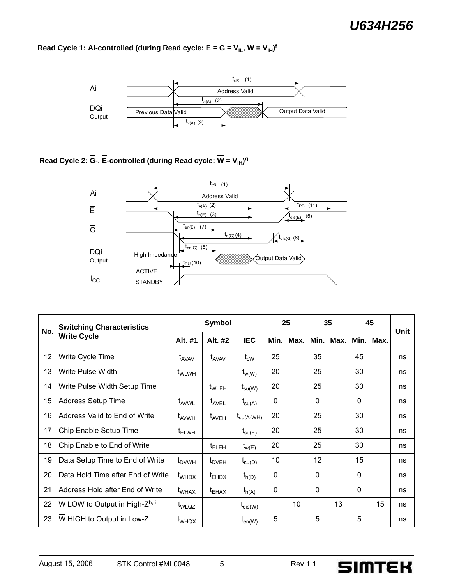Read Cycle 1: Ai-controlled (during Read cycle: E = G = V<sub>IL</sub>, W = V<sub>IH</sub>)<sup>f</sup>



Read Cycle 2: G-, E-controlled (during Read cycle: W = V<sub>IH</sub>)<sup>g</sup>



|     | <b>Switching Characteristics</b>          | Symbol            |                   | 25                                     |                 | 35              |                 | 45        |              | Unit      |    |
|-----|-------------------------------------------|-------------------|-------------------|----------------------------------------|-----------------|-----------------|-----------------|-----------|--------------|-----------|----|
| No. | <b>Write Cycle</b>                        | Alt. #1           | Alt. #2           | <b>IEC</b>                             | Min.            | Max.            |                 | Min. Max. |              | Min. Max. |    |
| 12  | Write Cycle Time                          | t <sub>AVAV</sub> | t <sub>AVAV</sub> | $\mathfrak{t}_{\mathrm{cW}}$           | 25              |                 | 35              |           | 45           |           | ns |
| 13  | Write Pulse Width                         | t <sub>WLWH</sub> |                   | $t_{w(W)}$                             | 20              |                 | 25              |           | 30           |           | ns |
| 14  | Write Pulse Width Setup Time              |                   | $t_{\text{WLEH}}$ | $t_{\text{su(W)}}$                     | 20              |                 | 25              |           | 30           |           | ns |
| 15  | <b>Address Setup Time</b>                 | t <sub>AVWL</sub> | $t_{AVEL}$        | $\mathsf{t}_{\mathsf{su}(\mathsf{A})}$ | $\Omega$        |                 | $\Omega$        |           | $\Omega$     |           | ns |
| 16  | Address Valid to End of Write             | t <sub>AVWH</sub> | t <sub>AVEH</sub> | t <sub>su(A-WH)</sub>                  | 20              |                 | 25              |           | 30           |           | ns |
| 17  | Chip Enable Setup Time                    | $t_{ELWH}$        |                   | $t_{\mathsf{su}(E)}$                   | 20              |                 | 25              |           | 30           |           | ns |
| 18  | Chip Enable to End of Write               |                   | $t_{\sf ELEH}$    | $t_{w(E)}$                             | 20              |                 | 25              |           | 30           |           | ns |
| 19  | Data Setup Time to End of Write           | $t_{\text{DVWH}}$ | $t_{\text{DVEH}}$ | $t_{\text{su}(D)}$                     | 10 <sup>°</sup> |                 | 12 <sup>2</sup> |           | 15           |           | ns |
| 20  | Data Hold Time after End of Write         | $t_{WHDX}$        | $t_{EHDX}$        | $t_{h(D)}$                             | $\Omega$        |                 | $\Omega$        |           | $\Omega$     |           | ns |
| 21  | Address Hold after End of Write           | t <sub>WHAX</sub> | $t_{EHAX}$        | $t_{h(A)}$                             | $\mathbf{0}$    |                 | $\mathbf{0}$    |           | $\mathbf{0}$ |           | ns |
| 22  | W LOW to Output in High-Z <sup>h, i</sup> | t <sub>WLQZ</sub> |                   | $t_{dis(W)}$                           |                 | 10 <sup>°</sup> |                 | 13        |              | 15        | ns |
| 23  | W HIGH to Output in Low-Z                 | t <sub>WHQX</sub> |                   | $I_{en(W)}$                            | 5               |                 | 5               |           | 5            |           | ns |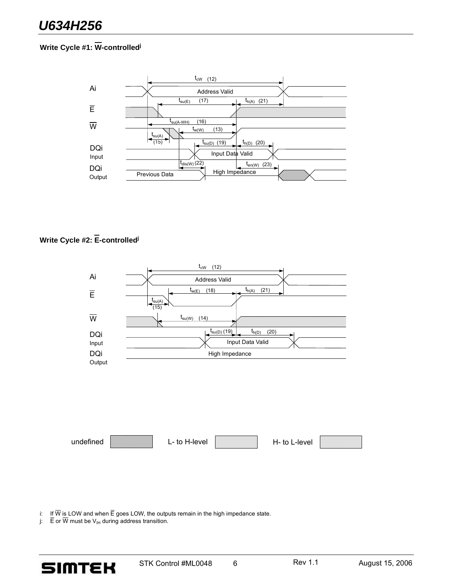# **Write Cycle #1: W-controlled<sup>j</sup>**



## **Write Cycle #2: E-controlled<sup>j</sup>**



i: If W is LOW and when E goes LOW, the outputs remain in the high impedance state.

j:  $E$  or W must be  $V_{H}$  during address transition.



STK Control #ML0048 6 Rev 1.1 August 15, 2006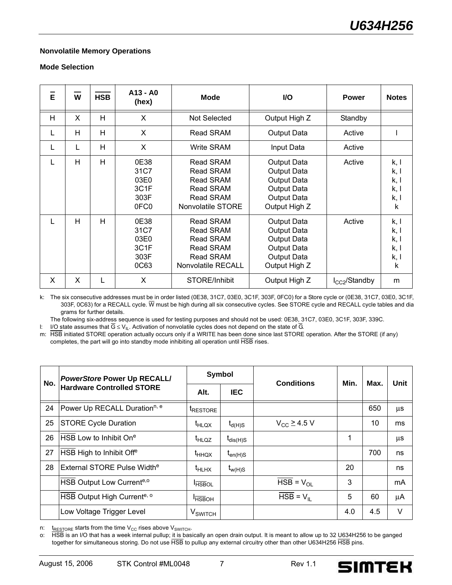#### **Nonvolatile Memory Operations**

#### **Mode Selection**

| $\bar{\mathbf{e}}$ | W | <b>HSB</b> | A13 - A0<br>(hex)                                         | <b>Mode</b>                                                                                                     | I/O                                                                                                    | <b>Power</b>      | <b>Notes</b>                                         |
|--------------------|---|------------|-----------------------------------------------------------|-----------------------------------------------------------------------------------------------------------------|--------------------------------------------------------------------------------------------------------|-------------------|------------------------------------------------------|
| H                  | X | H          | X                                                         | Not Selected                                                                                                    | Output High Z                                                                                          | Standby           |                                                      |
| L                  | H | Н          | X                                                         | Read SRAM                                                                                                       | <b>Output Data</b>                                                                                     | Active            |                                                      |
| L                  | L | Н          | X                                                         | Write SRAM                                                                                                      | Input Data                                                                                             | Active            |                                                      |
|                    | H | Н          | 0E38<br>31C7<br>03E0<br>3C1F<br>303F<br>0FC <sub>0</sub>  | Read SRAM<br><b>Read SRAM</b><br><b>Read SRAM</b><br><b>Read SRAM</b><br><b>Read SRAM</b><br>Nonvolatile STORE  | Output Data<br>Output Data<br>Output Data<br><b>Output Data</b><br>Output Data<br>Output High Z        | Active            | k, l<br>k, I<br>k, l<br>k, I<br>k, I<br>$\mathsf{k}$ |
| L                  | H | Н          | 0E38<br>31C7<br>03E0<br>3C <sub>1</sub> F<br>303F<br>0C63 | Read SRAM<br><b>Read SRAM</b><br><b>Read SRAM</b><br>Read SRAM<br><b>Read SRAM</b><br><b>Nonvolatile RECALL</b> | <b>Output Data</b><br>Output Data<br><b>Output Data</b><br>Output Data<br>Output Data<br>Output High Z | Active            | k, I<br>k, I<br>k, I<br>k, l<br>k, I<br>k            |
| X                  | X | L          | X                                                         | STORE/Inhibit                                                                                                   | Output High Z                                                                                          | $I_{CC}$ /Standby | m                                                    |

k: The six consecutive addresses must be in order listed (0E38, 31C7, 03E0, 3C1F, 303F, 0FC0) for a Store cycle or (0E38, 31C7, 03E0, 3C1F, 303F, 0C63) for a RECALL cycle. W must be high during all six consecutive cycles. See STORE cycle and RECALL cycle tables and dia grams for further details.

The following six-address sequence is used for testing purposes and should not be used: 0E38, 31C7, 03E0, 3C1F, 303F, 339C.

l: I/O state assumes that  $\overline{G}$  ≤ V<sub>IL</sub>. Activation of nonvolatile cycles does not depend on the state of  $\overline{G}$ .

m: HSB initiated STORE operation actually occurs only if a WRITE has been done since last STORE operation. After the STORE (if any) completes, the part will go into standby mode inhibiting all operation until HSB rises.

| No. | <b>PowerStore Power Up RECALL/</b>       | <b>Symbol</b>              |               | <b>Conditions</b>                  | Min. | Max. | Unit    |
|-----|------------------------------------------|----------------------------|---------------|------------------------------------|------|------|---------|
|     | <b>Hardware Controlled STORE</b>         | Alt.                       | <b>IEC</b>    |                                    |      |      |         |
| 24  | Power Up RECALL Duration <sup>n, e</sup> | <b>IRESTORE</b>            |               |                                    |      | 650  | $\mu s$ |
| 25  | <b>STORE Cycle Duration</b>              | $t_{HLQX}$                 | $t_{d(H)S}$   | $V_{CC} \geq 4.5$ V                |      | 10   | ms      |
| 26  | $\sf{I}$ HSB Low to Inhibit On $\rm{e}$  | <sup>t</sup> HLQZ          | $t_{dis(H)S}$ |                                    |      |      | $\mu$ s |
| 27  | HSB High to Inhibit Off <sup>e</sup>     | t <sub>HHQX</sub>          | $t_{en(H)S}$  |                                    |      | 700  | ns      |
| 28  | External STORE Pulse Width <sup>e</sup>  | <sup>t</sup> HLHX          | $t_{w(H)S}$   |                                    | 20   |      | ns      |
|     | HSB Output Low Current <sup>e,o</sup>    | <b>HSBOL</b>               |               | $HSB = V_{OL}$                     | 3    |      | mA      |
|     | HSB Output High Current <sup>e, o</sup>  | <b>HSBOH</b>               |               | $\overline{HSB}$ = $V_{\parallel}$ | 5    | 60   | μA      |
|     | Low Voltage Trigger Level                | <b>V</b> <sub>SWITCH</sub> |               |                                    | 4.0  | 4.5  | $\vee$  |

n:  $t_{RESTORE}$  starts from the time V<sub>CC</sub> rises above V<sub>SWITCH</sub>.<br>o: HSB is an I/O that has a week internal pullup; it is basi

HSB is an I/O that has a week internal pullup; it is basically an open drain output. It is meant to allow up to 32 U634H256 to be ganged together for simultaneous storing. Do not use HSB to pullup any external circuitry other than other U634H256 HSB pins.

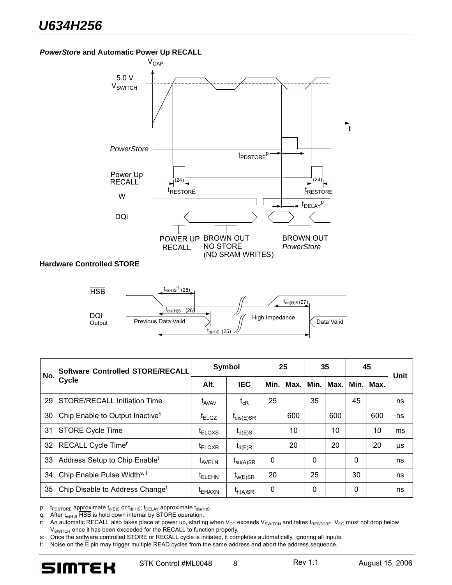#### *PowerStore* **and Automatic Power Up RECALL**



| No. | <b>Software Controlled STORE/RECALL</b>     | Symbol             |                                   | 25       |      | 35       |             | 45       |             | Unit |
|-----|---------------------------------------------|--------------------|-----------------------------------|----------|------|----------|-------------|----------|-------------|------|
|     | Cycle                                       | Alt.               | <b>IEC</b>                        | Min.     | Max. |          | Min.   Max. |          | Min.   Max. |      |
| 29  | <b>STORE/RECALL Initiation Time</b>         | t <sub>AVAV</sub>  | $\mathfrak{t}_{\text{\tiny{cR}}}$ | 25       |      | 35       |             | 45       |             | ns   |
| 30  | Chip Enable to Output Inactive <sup>s</sup> | $t_{ELQZ}$         | $t_{dis(E)SR}$                    |          | 600  |          | 600         |          | 600         | ns   |
| 31  | <b>STORE Cycle Time</b>                     | t <sub>ELQXS</sub> | $t_{d(E)S}$                       |          | 10   |          | 10          |          | 10          | ms   |
| 32  | RECALL Cycle Time <sup>r</sup>              | t <sub>ELQXR</sub> | $t_{d(E)R}$                       |          | 20   |          | 20          |          | 20          | μs   |
| 33  | Address Setup to Chip Enable <sup>t</sup>   | t <sub>AVELN</sub> | $t_{\text{su}(A) \text{SR}}$      | $\Omega$ |      | $\Omega$ |             | $\Omega$ |             | ns   |
| 34  | Chip Enable Pulse Width <sup>s, t</sup>     | t <sub>ELEHN</sub> | $I_{W(E)SR}$                      | 20       |      | 25       |             | 30       |             | ns   |
| 35  | Chip Disable to Address Change <sup>t</sup> | t <sub>EHAXN</sub> | $t_{h(A)SR}$                      | 0        |      | 0        |             | 0        |             | ns   |

p:  $t_{\text{PDSTORE}}$  approximate  $t_{d(E)S}$  or  $t_{d(H)S}$ ;  $t_{\text{DELAY}}$  approximate  $t_{dis(H)S}$ .

q: After  $t_{w(H)S}$  HSB is hold down internal by STORE operation.

r: An automatic RECALL also takes place at power up, starting when  $V_{CC}$  exceeds  $V_{SWTCH}$  and takes t<sub>RESTORE</sub>.  $V_{CC}$  must not drop below V<sub>SWITCH</sub> once it has been exceeded for the RECALL to function properly.

s: Once the software controlled STORE or RECALL cycle is initiated, it completes automatically, ignoring all inputs.

t: Noise on the  $\overline{E}$  pin may trigger multiple READ cycles from the same address and abort the address sequence.

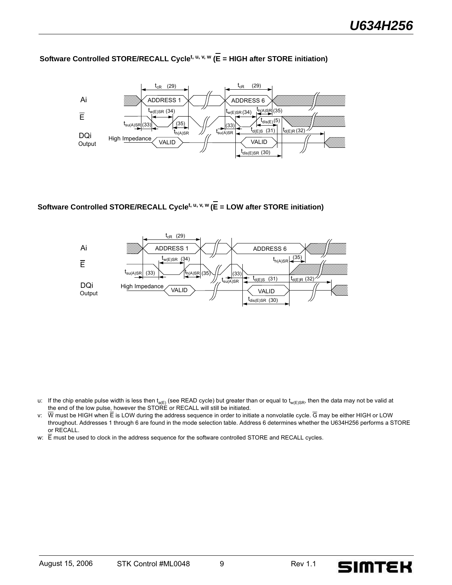# **Software Controlled STORE/RECALL Cyclet, u, v, w (E = HIGH after STORE initiation)**



# **Software Controlled STORE/RECALL Cyclet, u, v, w (E = LOW after STORE initiation)**



- u: If the chip enable pulse width is less then t<sub>a(E)</sub> (see READ cycle) but greater than or equal to t<sub>w(E)SR</sub>, then the data may not be valid at the end of the low pulse, however the STORE or RECALL will still be initiated.
- v:  $\overline{W}$  must be HIGH when  $\overline{E}$  is LOW during the address sequence in order to initiate a nonvolatile cycle.  $\overline{G}$  may be either HIGH or LOW throughout. Addresses 1 through 6 are found in the mode selection table. Address 6 determines whether the U634H256 performs a STORE or RECALL.
- w:  $\overline{E}$  must be used to clock in the address sequence for the software controlled STORE and RECALL cycles.

**SIMTEK**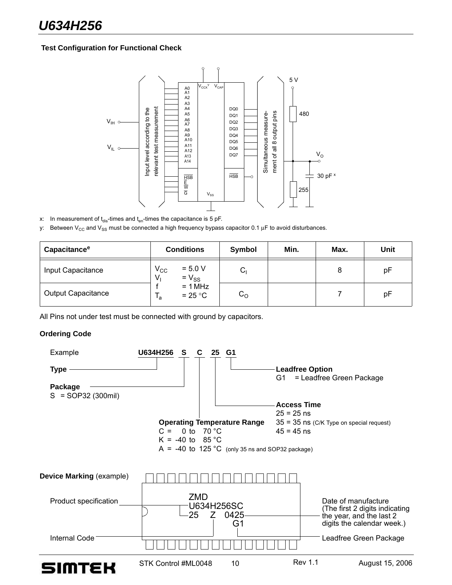#### **Test Configuration for Functional Check**



x: In measurement of  $t_{dis}$ -times and  $t_{en}$ -times the capacitance is 5 pF.

y: Between V<sub>CC</sub> and V<sub>SS</sub> must be connected a high frequency bypass capacitor 0.1  $\mu$ F to avoid disturbances.

| Capacitance <sup>e</sup>  | <b>Conditions</b>                                                             | Symbol      | Min. | Max. | Unit |
|---------------------------|-------------------------------------------------------------------------------|-------------|------|------|------|
| Input Capacitance         | $\rm V_{CC}$<br>$= 5.0 V$<br>$= V_{SS}$<br>V,<br>$= 1 MHz$<br>$= 25 °C$<br>٠a | ⌒<br>ا ب    |      | 8    | рF   |
| <b>Output Capacitance</b> |                                                                               | $C_{\rm O}$ |      |      | рF   |

All Pins not under test must be connected with ground by capacitors.

#### **Ordering Code**

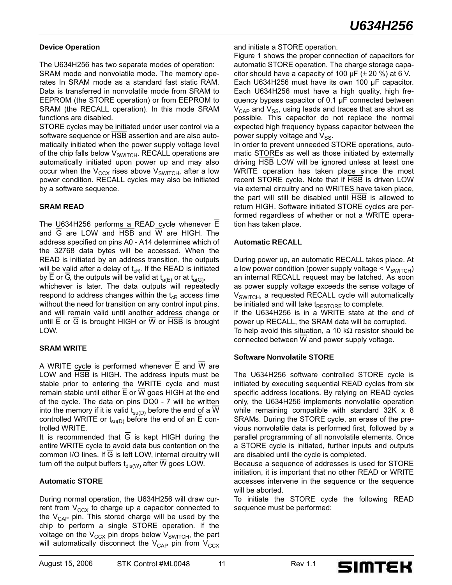#### **Device Operation**

The U634H256 has two separate modes of operation: SRAM mode and nonvolatile mode. The memory operates In SRAM mode as a standard fast static RAM. Data is transferred in nonvolatile mode from SRAM to EEPROM (the STORE operation) or from EEPROM to SRAM (the RECALL operation). In this mode SRAM functions are disabled.

STORE cycles may be initiated under user control via a software sequence or HSB assertion and are also automatically initiated when the power supply voltage level of the chip falls below  $V_{SWITCH}$ . RECALL operations are automatically initiated upon power up and may also occur when the  $V_{CCX}$  rises above  $V_{SWITCH}$ , after a low power condition. RECALL cycles may also be initiated by a software sequence.

#### **SRAM READ**

The U634H256 performs a READ cycle whenever  $\overline{E}$ and  $\overline{G}$  are LOW and  $\overline{HSB}$  and  $\overline{W}$  are HIGH. The address specified on pins A0 - A14 determines which of the 32768 data bytes will be accessed. When the READ is initiated by an address transition, the outputs will be valid after a delay of  $t_{CR}$ . If the READ is initiated by E or G, the outputs will be valid at  $t_{a(E)}$  or at  $t_{a(G)}$ , whichever is later. The data outputs will repeatedly respond to address changes within the  $t_{CR}$  access time without the need for transition on any control input pins,

and will remain valid until another address change or until E or G is brought HIGH or W or HSB is brought LOW.

### **SRAM WRITE**

A WRITE cycle is performed whenever  $\overline{E}$  and W are LOW and HSB is HIGH. The address inputs must be stable prior to entering the WRITE cycle and must remain stable until either  $\overline{E}$  or  $\overline{W}$  goes HIGH at the end of the cycle. The data on pins DQ0 - 7 will be written into the memory if it is valid  $t_{\text{su}(D)}$  before the end of a  $\overline{W}$ controlled WRITE or  $t_{\text{su}(D)}$  before the end of an E controlled WRITE.

It is recommended that  $\overline{G}$  is kept HIGH during the entire WRITE cycle to avoid data bus contention on the common I/O lines. If  $\overline{G}$  is left LOW, internal circuitry will turn off the output buffers  $t_{dis(W)}$  after  $\overline{W}$  goes LOW.

#### **Automatic STORE**

During normal operation, the U634H256 will draw current from  $V_{CCX}$  to charge up a capacitor connected to the  $V_{CAP}$  pin. This stored charge will be used by the chip to perform a single STORE operation. If the voltage on the  $V_{CCX}$  pin drops below  $V_{SWITCH}$ , the part will automatically disconnect the  $V_{CAP}$  pin from  $V_{CCX}$ 

Figure 1 shows the proper connection of capacitors for automatic STORE operation. The charge storage capacitor should have a capacity of 100  $\mu$ F ( $\pm$  20 %) at 6 V. Each U634H256 must have its own 100 μF capacitor. Each U634H256 must have a high quality, high frequency bypass capacitor of 0.1 μF connected between  $V_{\text{CAP}}$  and  $V_{\text{SS}}$ , using leads and traces that are short as possible. This capacitor do not replace the normal expected high frequency bypass capacitor between the power supply voltage and  $V_{SS}$ .

In order to prevent unneeded STORE operations, automatic STOREs as well as those initiated by externally driving HSB LOW will be ignored unless at least one WRITE operation has taken place since the most recent STORE cycle. Note that if HSB is driven LOW via external circuitry and no WRITES have taken place, the part will still be disabled until HSB is allowed to return HIGH. Software initiated STORE cycles are performed regardless of whether or not a WRITE operation has taken place.

#### **Automatic RECALL**

During power up, an automatic RECALL takes place. At a low power condition (power supply voltage  $<$   $V_{\text{SWITCH}}$ ) an internal RECALL request may be latched. As soon as power supply voltage exceeds the sense voltage of  $V<sub>SWITCH</sub>$ , a requested RECALL cycle will automatically be initiated and will take  $t_{\text{RESTORE}}$  to complete. If the U634H256 is in a WRITE state at the end of power up RECALL, the SRAM data will be corrupted. To help avoid this situation, a 10 kΩ resistor should be connected between W and power supply voltage.

### **Software Nonvolatile STORE**

The U634H256 software controlled STORE cycle is initiated by executing sequential READ cycles from six specific address locations. By relying on READ cycles only, the U634H256 implements nonvolatile operation while remaining compatible with standard 32K x 8 SRAMs. During the STORE cycle, an erase of the previous nonvolatile data is performed first, followed by a parallel programming of all nonvolatile elements. Once a STORE cycle is initiated, further inputs and outputs are disabled until the cycle is completed.

Because a sequence of addresses is used for STORE initiation, it is important that no other READ or WRITE accesses intervene in the sequence or the sequence will be aborted.

To initiate the STORE cycle the following READ sequence must be performed:

**SIMTEK**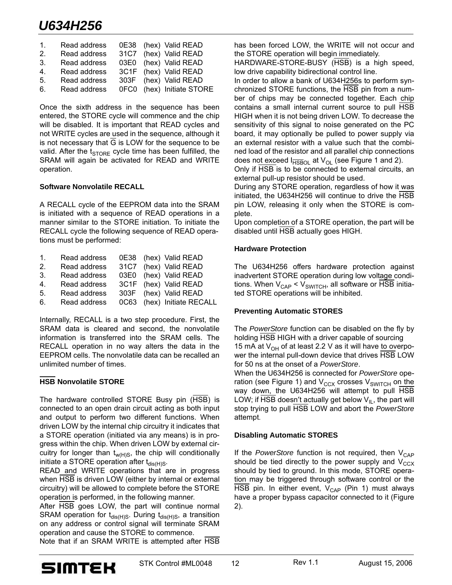# *U634H256*

| $\mathbf{1}$ . | Read address | 0E38 (hex) Valid READ     |
|----------------|--------------|---------------------------|
| 2.             | Read address | 31C7 (hex) Valid READ     |
| 3 <sub>1</sub> | Read address | 03E0 (hex) Valid READ     |
| 4 <sub>1</sub> | Read address | 3C1F (hex) Valid READ     |
| 5.             | Read address | 303F (hex) Valid READ     |
| 6.             | Read address | 0FC0 (hex) Initiate STORE |

Once the sixth address in the sequence has been entered, the STORE cycle will commence and the chip will be disabled. It is important that READ cycles and not WRITE cycles are used in the sequence, although it is not necessary that G is LOW for the sequence to be valid. After the  $t_{\text{STORE}}$  cycle time has been fulfilled, the SRAM will again be activated for READ and WRITE operation.

#### **Software Nonvolatile RECALL**

A RECALL cycle of the EEPROM data into the SRAM is initiated with a sequence of READ operations in a manner similar to the STORE initiation. To initiate the RECALL cycle the following sequence of READ operations must be performed:

| $1_{-}$        | Read address | 0E38 (hex) Valid READ      |
|----------------|--------------|----------------------------|
| 2 <sub>1</sub> | Read address | 31C7 (hex) Valid READ      |
| 3.             | Read address | 03E0 (hex) Valid READ      |
| 4 <sup>1</sup> | Read address | 3C1F (hex) Valid READ      |
| 5.             | Read address | 303F (hex) Valid READ      |
| 6.             | Read address | 0C63 (hex) Initiate RECALL |

Internally, RECALL is a two step procedure. First, the SRAM data is cleared and second, the nonvolatile information is transferred into the SRAM cells. The RECALL operation in no way alters the data in the EEPROM cells. The nonvolatile data can be recalled an unlimited number of times.

### **HSB Nonvolatile STORE**

The hardware controlled STORE Busy pin (HSB) is connected to an open drain circuit acting as both input and output to perform two different functions. When driven LOW by the internal chip circuitry it indicates that a STORE operation (initiated via any means) is in progress within the chip. When driven LOW by external circuitry for longer than  $t_{w(H)S}$ , the chip will conditionally initiate a STORE operation after  $t_{dis(H)S}$ .

READ and WRITE operations that are in progress when HSB is driven LOW (either by internal or external circuitry) will be allowed to complete before the STORE operation is performed, in the following manner.

After HSB goes LOW, the part will continue normal SRAM operation for  $t_{dis(H)S}$ . During  $t_{dis(H)S}$ , a transition on any address or control signal will terminate SRAM operation and cause the STORE to commence.

Note that if an SRAM WRITE is attempted after HSB

has been forced LOW, the WRITE will not occur and the STORE operation will begin immediately.

HARDWARE-STORE-BUSY (HSB) is a high speed, low drive capability bidirectional control line.

In order to allow a bank of U634H256s to perform synchronized STORE functions, the HSB pin from a number of chips may be connected together. Each chip contains a small internal current source to pull HSB HIGH when it is not being driven LOW. To decrease the sensitivity of this signal to noise generated on the PC board, it may optionally be pulled to power supply via an external resistor with a value such that the combined load of the resistor and all parallel chip connections does not exceed  $I_{\overline{HSBOL}}$  at  $V_{\text{OL}}$  (see Figure 1 and 2).

Only if HSB is to be connected to external circuits, an external pull-up resistor should be used.

During any STORE operation, regardless of how it was initiated, the U634H256 will continue to drive the HSB pin LOW, releasing it only when the STORE is complete.

Upon completion of a STORE operation, the part will be disabled until HSB actually goes HIGH.

#### **Hardware Protection**

The U634H256 offers hardware protection against inadvertent STORE operation during low voltage conditions. When  $V_{CAP}$  <  $V_{SWITCH}$ , all software or HSB initiated STORE operations will be inhibited.

### **Preventing Automatic STORES**

The *PowerStore* function can be disabled on the fly by holding HSB HIGH with a driver capable of sourcing 15 mA at  $V_{OH}$  of at least 2.2 V as it will have to overpower the internal pull-down device that drives HSB LOW for 50 ns at the onset of a *PowerStore*. When the U634H256 is connected for *PowerStore* operation (see Figure 1) and  $V_{CCX}$  crosses  $V_{SWITCH}$  on the way down, the U634H256 will attempt to pull HSB LOW; if HSB doesn't actually get below  $V_{IL}$ , the part will stop trying to pull HSB LOW and abort the *PowerStore* attempt.

### **Disabling Automatic STORES**

If the *PowerStore* function is not required, then V<sub>CAP</sub> should be tied directly to the power supply and  $V_{CCX}$ should by tied to ground. In this mode, STORE operation may be triggered through software control or the HSB pin. In either event,  $V_{CAP}$  (Pin 1) must always have a proper bypass capacitor connected to it (Figure 2).

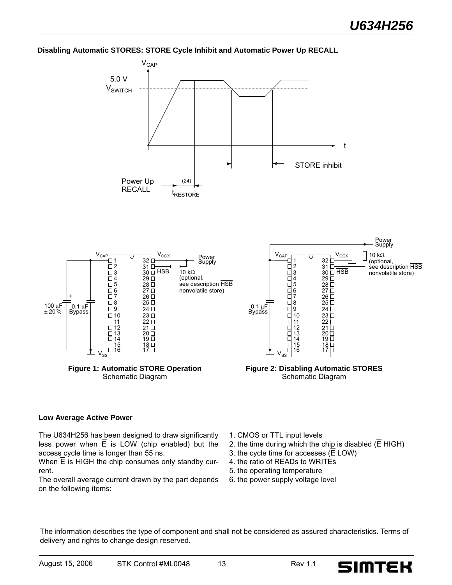#### **Disabling Automatic STORES: STORE Cycle Inhibit and Automatic Power Up RECALL**



#### **Low Average Active Power**

The U634H256 has been designed to draw significantly less power when  $\overline{E}$  is LOW (chip enabled) but the access cycle time is longer than 55 ns.

When  $\overline{E}$  is HIGH the chip consumes only standby current.

The overall average current drawn by the part depends on the following items:

- 1. CMOS or TTL input levels
- 2. the time during which the chip is disabled ( $\overline{E}$  HIGH)
- 3. the cycle time for accesses  $(E$  LOW)
- 4. the ratio of READs to WRITEs
- 5. the operating temperature
- 6. the power supply voltage level

The information describes the type of component and shall not be considered as assured characteristics. Terms of delivery and rights to change design reserved.

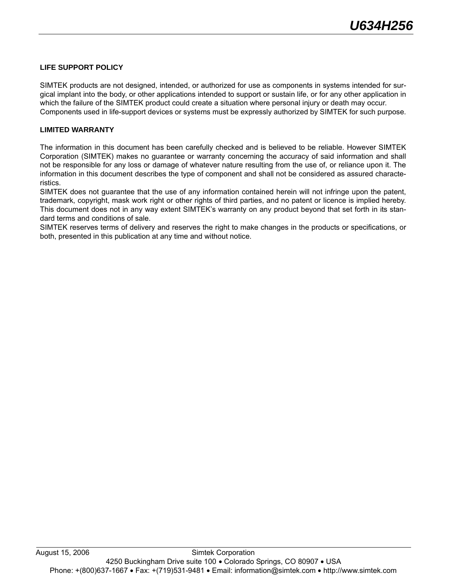#### **LIFE SUPPORT POLICY**

SIMTEK products are not designed, intended, or authorized for use as components in systems intended for surgical implant into the body, or other applications intended to support or sustain life, or for any other application in which the failure of the SIMTEK product could create a situation where personal injury or death may occur. Components used in life-support devices or systems must be expressly authorized by SIMTEK for such purpose.

#### **LIMITED WARRANTY**

The information in this document has been carefully checked and is believed to be reliable. However SIMTEK Corporation (SIMTEK) makes no guarantee or warranty concerning the accuracy of said information and shall not be responsible for any loss or damage of whatever nature resulting from the use of, or reliance upon it. The information in this document describes the type of component and shall not be considered as assured characteristics.

SIMTEK does not guarantee that the use of any information contained herein will not infringe upon the patent, trademark, copyright, mask work right or other rights of third parties, and no patent or licence is implied hereby. This document does not in any way extent SIMTEK's warranty on any product beyond that set forth in its standard terms and conditions of sale.

SIMTEK reserves terms of delivery and reserves the right to make changes in the products or specifications, or both, presented in this publication at any time and without notice.